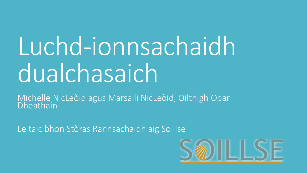# Luchd-ionnsachaidh dualchasaich

Michelle NicLeòid agus Marsaili NicLeòid, Oilthigh Obar Dheathain

Le taic bhon Stòras Rannsachaidh aig Soillse

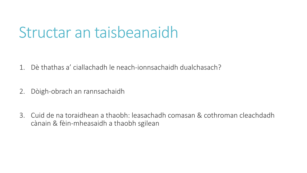### Structar an taisbeanaidh

1. Dè thathas a' ciallachadh le neach-ionnsachaidh dualchasach?

- 2. Dòigh-obrach an rannsachaidh
- 3. Cuid de na toraidhean a thaobh: leasachadh comasan & cothroman cleachdadh cànain & fèin-mheasaidh a thaobh sgilean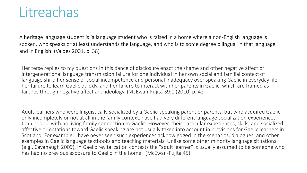#### **Litreachas**

A heritage language student is 'a language student who is raised in a home where a non-English language is spoken, who speaks or at least understands the language, and who is to some degree bilingual in that language and in English' (Valdés 2001, p. 38)

Her terse replies to my questions in this dance of disclosure enact the shame and other negative affect of intergenerational language transmission failure for one individual in her own social and familial context of language shift: her sense of social incompetence and personal inadequacy over speaking Gaelic in everyday life, her failure to learn Gaelic quickly, and her failure to interact with her parents in Gaelic, which are framed as failures through negative affect and ideology. (McEwan-Fujita 39:1 (2010) p. 42

Adult learners who were linguistically socialized by a Gaelic-speaking parent or parents, but who acquired Gaelic only incompletely or not at all in the family context, have had very different language socialization experiences than people with no living family connection to Gaelic. However, their particular experiences, skills, and socialized affective orientations toward Gaelic speaking are not usually taken into account in provisions for Gaelic learners in Scotland. For example, I have never seen such experiences acknowledged in the scenarios, dialogues, and other examples in Gaelic language textbooks and teaching materials. Unlike some other minority language situations (e.g., Cavanaugh 2009), in Gaelic revitalization contexts the "adult learner" is usually assumed to be someone who has had no previous exposure to Gaelic in the home. (McEwan-Fujita 45)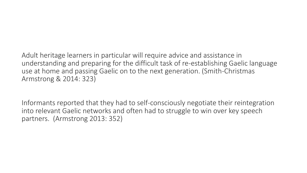Adult heritage learners in particular will require advice and assistance in understanding and preparing for the difficult task of re-establishing Gaelic language use at home and passing Gaelic on to the next generation. (Smith-Christmas Armstrong & 2014: 323)

Informants reported that they had to self-consciously negotiate their reintegration into relevant Gaelic networks and often had to struggle to win over key speech partners. (Armstrong 2013: 352)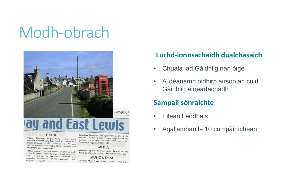### Modh-obrach



### **y and East Lewis**

#### **GAELIC**

Fridays: Rionnagan Beaga, 10.15-11.45am, Young Musicians Hebrides, Bells Road, near Tesco. Learn Gaelic through songs and play - for children age 0 to 5. All young children, whatever their level of Gaelic, welcome with their parents and grandparents.

Fridays: Cearcall Comhraidh Gaelic Conversation Circle at the Retirement Centre Bayhead, all welcome. 4.30-6pm. Use and build on your Gaelic vocabulary in a supportive environment. For more information, call Maggie 07554665549

Saturdays: Stornoway Running and Athletics Club, junior sessions, 10.30am-12-noon, Porters Lodge (winter) and running track (summer). For more information contact Seumas Mactaggart, 07766654449

#### **MEDIA**

Mondays: Digi-Heb, the Bridge Centre, Bayhead. Aspiring actors, actresses, filmmakers and writers welcome. Free **MUSIC & DANCE** Mondays: MiLC Piping School, 7-9pm, Laxdale Hall

#### **Luchd-ionnsachaidh dualchasaich**

- Chuala iad Gàidhlig nan òige
- A' dèanamh oidhirp airson an cuid Gàidhlig a neartachadh

#### **Sampall sònraichte**

- Eilean Leòdhais
- Agallamhan le 10 compàirtichean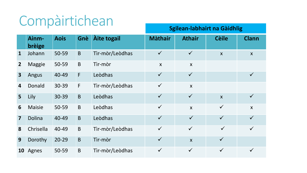### Compàirtichean

**Sgilean-labhairt na Gàidhlig**

|                         |                 |             |              |                 |                           |                           |                  | ັ                |
|-------------------------|-----------------|-------------|--------------|-----------------|---------------------------|---------------------------|------------------|------------------|
|                         | Ainm-<br>brèige | <b>Aois</b> | Gnè          | Àite togail     | <b>Màthair</b>            | <b>Athair</b>             | <b>Cèile</b>     | <b>Clann</b>     |
| $\mathbf{1}$            | Johann          | $50 - 59$   | $\mathsf B$  | Tìr-mòr/Leòdhas | $\checkmark$              | $\checkmark$              | $\boldsymbol{X}$ | $\boldsymbol{X}$ |
| 2 <sup>2</sup>          | <b>Maggie</b>   | 50-59       | $\mathsf B$  | Tìr-mòr         | $\boldsymbol{\mathsf{X}}$ | $\boldsymbol{\mathsf{X}}$ |                  |                  |
| $\overline{\mathbf{3}}$ | Angus           | 40-49       | $\mathsf{F}$ | Leòdhas         | $\checkmark$              | $\checkmark$              |                  | $\checkmark$     |
| 4                       | Donald          | 30-39       | $\mathsf{F}$ | Tìr-mòr/Leòdhas | $\checkmark$              | $\boldsymbol{\mathsf{X}}$ |                  |                  |
| 5 <sup>5</sup>          | Lily            | 30-39       | B            | Leòdhas         | $\checkmark$              | $\checkmark$              | $\mathsf{X}$     | $\checkmark$     |
| 6                       | <b>Maisie</b>   | 50-59       | $\mathsf B$  | Leòdhas         | $\checkmark$              | $\boldsymbol{\mathsf{X}}$ | $\checkmark$     | $\boldsymbol{X}$ |
| $\overline{\mathbf{z}}$ | Dolina          | 40-49       | B            | Leòdhas         | $\checkmark$              | $\checkmark$              | $\checkmark$     | $\checkmark$     |
| 8                       | Chrisella       | 40-49       | B            | Tìr-mòr/Leòdhas | $\checkmark$              | $\checkmark$              | $\checkmark$     | $\checkmark$     |
| 9                       | Dorothy         | $20 - 29$   | B            | Tìr-mòr         | $\checkmark$              | $\mathsf{X}$              | $\checkmark$     |                  |
| 10                      | Agnes           | 50-59       | $\mathsf B$  | Tìr-mòr/Leòdhas | $\checkmark$              | $\checkmark$              | $\checkmark$     | $\checkmark$     |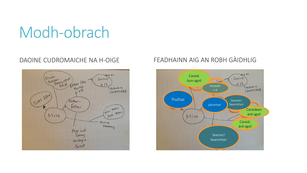## Modh-obrach



#### DAOINE CUDROMAICHE NA H-OIGE FEADHAINN AIG AN ROBH GÀIDHLIG

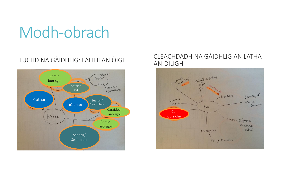## Modh-obrach



#### LUCHD NA GÀIDHLIG: LÀITHEAN ÒIGE CLEACHDADH NA GÀIDHLIG AN LATHA AN-DIUGH

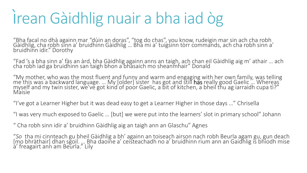## ìrean Gàidhlig nuair a bha iad òg

"Bha facal no dhà againn mar "dùin an doras", "tog do chas", you know, rudeigin mar sin ach cha robh Gàidhlig, cha robh sinn a' bruidhinn Gàidhlig … Bha mi a' tuigsinn tòrr commands, ach cha robh sinn a' bruidhinn idir." Dorothy

"Fad 's a bha sinn a' fàs an àrd, bha Gàidhlig againn anns an taigh, ach chan eil Gàidhlig aig m' athair … ach cha robh iad ga bruidhinn san taigh bhon a bhàsaich mo sheanmhair" Donald

"My mother, who was the most fluent and funny and warm and engaging with her own family, was telling me this was a backward language. … My [older] sister, has got and still **has** really good Gaelic … Whereas ` myself and my twin sister, we've got kin'd`of poor Gaelic, a bit of kitchen, a bheil thu ag iarraidh cupa tì?" **Maisie** 

"I've got a Learner Higher but it was dead easy to get a Learner Higher in those days …" Chrisella

"I was very much exposed to Gaelic … [but] we were put into the learners' slot in primary school" Johann

" Cha robh sinn idir a' bruidhinn Gàidhlig aig an taigh ann an Glaschu" Agnes

"*So* tha mi cinnteach gu bheil Gàidhlig a bh' againn an toiseach airson nach robh Beurla agam gu, gun deach [mo bhràthair] dhan sgoil. ". Bha daoine a' ceisteachadh no a' bruidhinn rium ann an Gaidhlig is bhiodh mise a' freagairt ann am Beurla." Lily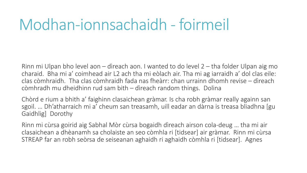### Modhan-ionnsachaidh - foirmeil

Rinn mi Ulpan bho level aon – dìreach aon. I wanted to do level 2 – tha folder Ulpan aig mo charaid. Bha mi a' coimhead air L2 ach tha mi eòlach air. Tha mi ag iarraidh a' dol clas eile: clas còmhraidh. Tha clas còmhraidh fada nas fheàrr: chan urrainn dhomh revise – dìreach còmhradh mu dheidhinn rud sam bith – dìreach random things. Dolina

Chòrd e rium a bhith a' faighinn clasaichean gràmar. Is cha robh gràmar really againn san sgoil. … Dh'atharraich mi a' cheum san treasamh, uill eadar an dàrna is treasa bliadhna [gu Gaidhlig] Dorothy

Rinn mi cùrsa goirid aig Sabhal Mòr cùrsa bogaidh dìreach airson cola-deug … tha mi air clasaichean a dhèanamh sa cholaiste an seo còmhla ri [tidsear] air gràmar. Rinn mi cùrsa STREAP far an robh seòrsa de seiseanan aghaidh ri aghaidh còmhla ri [tidsear]. Agnes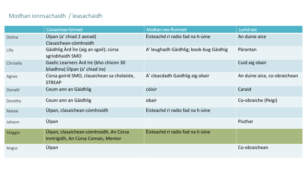#### Modhan ionnsachaidh / leasachaidh

|           | Cùrsaichean foirmeil                                                          | Modhan neo-fhoirmeil                   | Luchd-taic                   |
|-----------|-------------------------------------------------------------------------------|----------------------------------------|------------------------------|
| Dolina    | Ùlpan (a' chiad 2 aonad)<br>Clasaichean-còmhraidh                             | Èisteachd ri radio fad na h-ùine       | An duine aice                |
| Lilly     | Gàidhlig Àrd Ìre (aig an sgoil); cùrsa<br>sgrìobhaidh SMO                     | A' leughadh Gàidhlig; book-bug Gàidhig | Pàrantan                     |
| Chrisella | Gaelic Learners Ard Ire (bho chionn 30<br>bliadhna) Ùlpan (a' chiad ìre)      |                                        | Cuid aig obair               |
| Agnes     | Cùrsa goirid SMO, clasaichean sa cholaiste,<br><b>STREAP</b>                  | A' cleacdadh Gaidhlig aig obair        | An duine aice, co-obraichean |
| Donald    | Ceum ann an Gàidhlig                                                          | còisir                                 | Caraid                       |
| Dorothy   | Ceum ann an Gàidhlig                                                          | obair                                  | Co-obraiche (Peigi)          |
| Maisie    | Ùlpan, clasaichean-còmhraidh                                                  | Èisteachd ri radio fad na h-ùine       |                              |
| Johann    | <b>Ùlpan</b>                                                                  |                                        | Piuthar                      |
| Maggie    | Úlpan, clasaichean-còmhraidh, An Cùrsa<br>Inntrigidh, An Cùrsa Comais, Mentor | Èisteachd ri radio fad na h-ùine       |                              |
| Angus     | <b>Ùlpan</b>                                                                  |                                        | Co-obraichean                |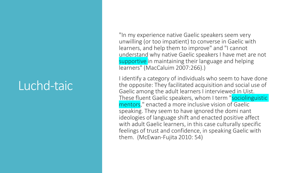#### Luchd-taic

"In my experience native Gaelic speakers seem very unwilling (or too impatient) to converse in Gaelic with learners, and help them to improve" and "I cannot understand why native Gaelic speakers I have met are not supportive in maintaining their language and helping learners" (MacCaluim 2007:266).)

I identify a category of individuals who seem to have done the opposite: They facilitated acquisition and social use of Gaelic among the adult learners I interviewed in Uist. These fluent Gaelic speakers, whom I term "sociolinguistic mentors," enacted a more inclusive vision of Gaelic speaking. They seem to have ignored the domi nant ideologies of language shift and enacted positive affect with adult Gaelic learners, in this case culturally specific feelings of trust and confidence, in speaking Gaelic with them. (McEwan-Fujita 2010: 54)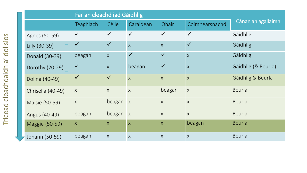|                   | Far an cleachd iad Gàidhlig |                           |                         |                         |                |                     |  |
|-------------------|-----------------------------|---------------------------|-------------------------|-------------------------|----------------|---------------------|--|
|                   | <b>Teaghlach</b>            | Cèile                     | Caraidean               | Obair                   | Coimhearsnachd | Cànan an agallaimh  |  |
| Agnes (50-59)     | $\checkmark$                | $\checkmark$              | $\checkmark$            | $\checkmark$            | $\checkmark$   | Gàidhlig            |  |
| Lilly (30-39)     | $\checkmark$                | $\checkmark$              | $\overline{X}$          | $\overline{\mathsf{X}}$ | $\checkmark$   | Gàidhlig            |  |
| Donald (30-39)    | beagan                      | $\mathsf{X}$              | $\checkmark$            | $\checkmark$            | $\overline{X}$ | Gàidhlig            |  |
| Dorothy (20-29)   | $\checkmark$                | $\overline{X}$            | beagan                  | $\checkmark$            | $\overline{X}$ | Gàidhlig (& Beurla) |  |
| Dolina (40-49)    | $\checkmark$                | $\checkmark$              | $\overline{\mathsf{X}}$ | $\overline{X}$          | $\overline{X}$ | Gàidhlig & Beurla   |  |
| Chrisella (40-49) | $\boldsymbol{X}$            | $\boldsymbol{\mathsf{X}}$ | $\boldsymbol{X}$        | beagan                  | $\sf X$        | Beurla              |  |
| Maisie (50-59)    | $\boldsymbol{X}$            | beagan x                  |                         | $\sf X$                 | $\mathsf{X}$   | Beurla              |  |
| Angus (40-49)     | beagan                      | $beagan \mid x$           |                         | $\sf X$                 | $\mathsf{X}$   | Beurla              |  |
| Maggie (50-59)    | $\mathsf{X}$                | $\overline{X}$            | $\overline{\mathsf{X}}$ | $\mathsf{X}$            | beagan         | <b>Beurla</b>       |  |
| Johann (50-59)    | beagan                      | $\boldsymbol{X}$          | $\mathsf{X}$            | $\mathsf{X}$            | $\sf X$        | Beurla              |  |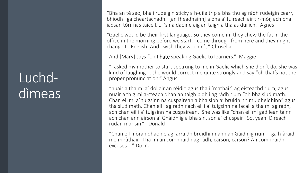#### Luchddìmeas

"Bha an tè seo, bha i rudeigin sticky a h-uile trip a bha thu ag ràdh rudeigin ceàrr, bhiodh i ga cheartachadh. [an fheadhainn] a bha a' fuireach air tìr-mòr, ach bha iadsan tòrr nas taiceil. … 's na daoine aig an taigh a tha as duilich." Agnes

"Gaelic would be their first language. So they come in, they chew the fat in the office in the morning before we start. I come through from here and they might change to English. And I wish they wouldn't." Chrisella

And [Mary] says "oh I hate speaking Gaelic to learners." Maggie

"I asked my mother to start speaking to me in Gaelic which she didn't do, she was kind of laughing … she would correct me quite strongly and say "oh that's not the proper pronunciation." Angus

"nuair a tha mi a' dol air an rèidio agus tha i [mathair] ag èisteachd rium, agus nuair a thig mi a-steach dhan an taigh bidh i ag ràdh rium "oh bha siud math. Chan eil mi a' tuigsinn na cuspairean a bha sibh a' bruidhinn mu dheidhinn" agus tha siud math. Chan eil i ag ràdh nach eil i a' tuigsinn na facail a tha mi ag ràdh, ach chan eil i a' tuigsinn na cuspairean. She was like "chan eil mi gad lean tainn ach chan ann airson a' Ghàidhlig a bha sin, son a' chuspair." So, yeah. Dìreach rudan mar sin." Donald

"Chan eil mòran dhaoine ag iarraidh bruidhinn ann an Gàidhlig rium – ga h-àraid mo mhàthair. Tha mi an còmhnaidh ag ràdh, carson, carson? An còmhnaidh excuses …" Dolina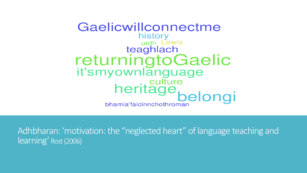Gaelicwillconnectme history uidh Lewis teaghlach returningtoGaelic it'smyownlanguage Nowritariguage<br>heritage<br>hamia'faicinnchothroman bhamia'faicinnchothroman

Adhbharan: 'motivation: the "neglected heart" of language teaching and learning' Rost(2006)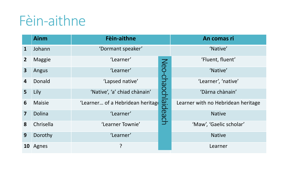#### Fèin-aithne

|                         | <b>Ainm</b>   | Fèin-aithne                      | An comas ri        |                                    |  |
|-------------------------|---------------|----------------------------------|--------------------|------------------------------------|--|
| $\mathbf{1}$            | Johann        | 'Dormant speaker'                | 'Native'           |                                    |  |
| 2 <sup>2</sup>          | <b>Maggie</b> | 'Learner'                        |                    | 'Fluent, fluent'                   |  |
| 3 <sup>1</sup>          | Angus         | 'Learner'                        | Neo-chaochlaideach | 'Native'                           |  |
| 4                       | Donald        | 'Lapsed native'                  |                    | 'Learner', 'native'                |  |
| 5                       | Lily          | 'Native', 'a' chiad chànain'     |                    | 'Dàrna chànain'                    |  |
| 6                       | <b>Maisie</b> | 'Learner of a Hebridean heritage |                    | Learner with no Hebridean heritage |  |
| $\overline{\mathbf{z}}$ | Dolina        | 'Learner'                        |                    | <b>Native</b>                      |  |
| 8                       | Chrisella     | 'Learner Townie'                 |                    | 'Maw', 'Gaelic scholar'            |  |
| 9                       | Dorothy       | 'Learner'                        |                    | <b>Native</b>                      |  |
| <b>10</b>               | Agnes         | ?                                |                    | Learner                            |  |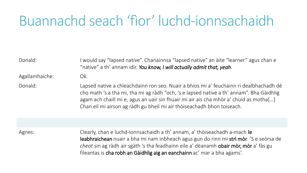#### Buannachd seach 'fìor' luchd-ionnsachaidh

| Donald:        | would say "lapsed native". Chanainnsa "lapsed native" an àite "learner" agus chan e<br>"native" a th' annam idir. You know, I will actually admit that, yeah.                                                                                                                                                                                         |
|----------------|-------------------------------------------------------------------------------------------------------------------------------------------------------------------------------------------------------------------------------------------------------------------------------------------------------------------------------------------------------|
| Agallamhaiche: | Ok.                                                                                                                                                                                                                                                                                                                                                   |
| Donald:        | Lapsed native a chleachdainn ron seo. Nuair a bhios mi a' feuchainn ri dealbhachadh dè<br>cho math 's a tha mi, tha mi ag ràdh "och, 's e lapsed native a th' annam". Bha Gàidhlig<br>agam ach chaill mi e, agus an uair sin fhuair mi air ais cha mhòr a' chuid as motha[]<br>Chan eil mi airson ag ràdh gu bheil mi air thòiseachadh bhon toiseach. |
|                |                                                                                                                                                                                                                                                                                                                                                       |
| Agnes:         | Clearly, chan e luchd-ionnsachaidh a th' annam, a' thòiseachadh a-mach le<br>leabhraichean nuair a bha mi nam inbheach agus gun do rinn mi strì mòr. 'S e seòrsa de                                                                                                                                                                                   |

*cheat* sin ag ràdh air sgàth 's tha feadhainn eile a' dèanamh obair mòr, mòr a' fàs gu fileantas is cha robh an Gàidhlig aig an eanchainn ac' mar a bha agams'.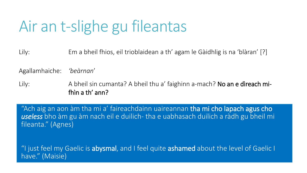## Air an t-slighe gu fileantas

Lily: Em a bheil fhios, eil trioblaidean a th' agam le Gàidhlig is na 'blàran' [?]

Agallamhaiche: *'beàrnan*'

Lily: A bheil sin cumanta? A bheil thu a' faighinn a-mach? No an e dìreach mifhìn a th' ann?

"Ach aig an aon àm tha mi a' faireachdainn uaireannan tha mi cho lapach agus cho *useless* bho àm gu àm nach eil e duilich- tha e uabhasach duilich a ràdh gu bheil mi fileanta." (Agnes)

"I just feel my Gaelic is **abysmal**, and I feel quite **ashamed** about the level of Gaelic I have." (Maisie)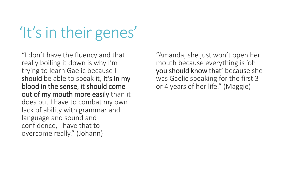## 'It's in their genes'

"I don't have the fluency and that really boiling it down is why I'm trying to learn Gaelic because I should be able to speak it, it's in my blood in the sense, it should come out of my mouth more easily than it does but I have to combat my own lack of ability with grammar and language and sound and confidence, I have that to overcome really." (Johann)

"Amanda, she just won't open her mouth because everything is 'oh you should know that' because she was Gaelic speaking for the first 3 or 4 years of her life." (Maggie)